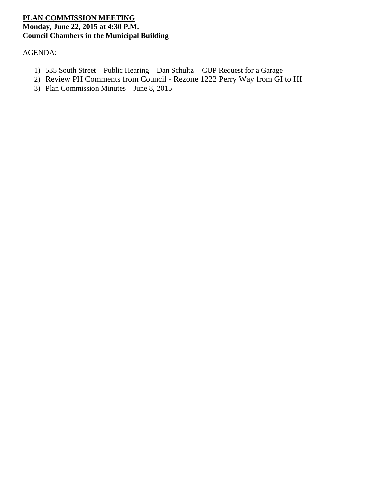# **PLAN COMMISSION MEETING Monday, June 22, 2015 at 4:30 P.M. Council Chambers in the Municipal Building**

AGENDA:

- 1) 535 South Street Public Hearing Dan Schultz CUP Request for a Garage
- 2) Review PH Comments from Council Rezone 1222 Perry Way from GI to HI
- 3) Plan Commission Minutes June 8, 2015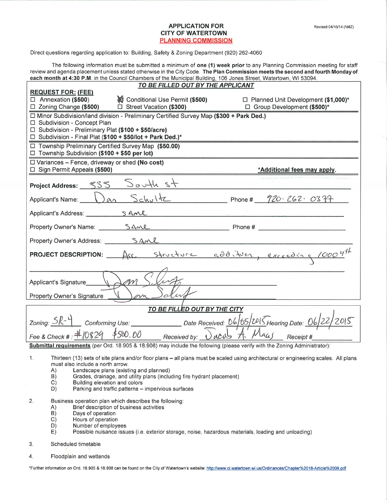### **APPLICATION FOR CITY OF WATERTOWN PLANNING COMMISSION**

Direct questions regarding application to: Building, Safety & Zoning Department (920) 262-4060

The following information must be submitted a minimum of one (1) week prior to any Planning Commission meeting for staff review and agenda placement unless stated otherwise in the City Code. The Plan Commission meets the second and fourth Monday of each month at 4:30 P.M. in the Council Chambers of the Municipal Building, 106 Jones Street, Watertown, WI 53094.

| <u>TO BE FILLED OUT BY THE APPLICANT</u>                                                                                                                                                                                                                                                                      |                                         |                                                                                                 |
|---------------------------------------------------------------------------------------------------------------------------------------------------------------------------------------------------------------------------------------------------------------------------------------------------------------|-----------------------------------------|-------------------------------------------------------------------------------------------------|
| <b>REQUEST FOR: (FEE)</b>                                                                                                                                                                                                                                                                                     |                                         |                                                                                                 |
| $\Box$ Annexation (\$500)<br>□ Zoning Change (\$500)                                                                                                                                                                                                                                                          | <b>舱</b> Conditional Use Permit (\$500) | □ Planned Unit Development (\$1,000)*<br>□ Street Vacation (\$300) □ Group Development (\$500)* |
| □ Minor Subdivision/land division - Preliminary Certified Survey Map (\$300 + Park Ded.)                                                                                                                                                                                                                      |                                         |                                                                                                 |
| □ Subdivision - Concept Plan                                                                                                                                                                                                                                                                                  |                                         |                                                                                                 |
| □ Subdivision - Preliminary Plat (\$100 + \$50/acre)                                                                                                                                                                                                                                                          |                                         |                                                                                                 |
| □ Subdivision - Final Plat (\$100 + \$50/lot + Park Ded.)*                                                                                                                                                                                                                                                    |                                         |                                                                                                 |
| □ Township Preliminary Certified Survey Map (\$50.00)<br>□ Township Subdivision (\$100 + \$50 per lot)                                                                                                                                                                                                        |                                         |                                                                                                 |
| $\Box$ Variances - Fence, driveway or shed (No cost)                                                                                                                                                                                                                                                          |                                         |                                                                                                 |
| $\Box$ Sign Permit Appeals (\$500)                                                                                                                                                                                                                                                                            |                                         | *Additional fees may apply.                                                                     |
|                                                                                                                                                                                                                                                                                                               |                                         |                                                                                                 |
| Project Address: 535 South st                                                                                                                                                                                                                                                                                 |                                         |                                                                                                 |
|                                                                                                                                                                                                                                                                                                               |                                         | Applicant's Name: $\bigcup_{\alpha_1}$ Schultz Phone # $\frac{720.262.0377}{1}$                 |
|                                                                                                                                                                                                                                                                                                               | Applicant's Address: SAML               |                                                                                                 |
|                                                                                                                                                                                                                                                                                                               |                                         |                                                                                                 |
|                                                                                                                                                                                                                                                                                                               |                                         |                                                                                                 |
| PROJECT DESCRIPTION: Acc structure additure, exceeding 1000 set                                                                                                                                                                                                                                               |                                         |                                                                                                 |
|                                                                                                                                                                                                                                                                                                               |                                         |                                                                                                 |
| M<br>Applicant's Signature                                                                                                                                                                                                                                                                                    |                                         |                                                                                                 |
|                                                                                                                                                                                                                                                                                                               |                                         |                                                                                                 |
| Property Owner's Signature                                                                                                                                                                                                                                                                                    |                                         |                                                                                                 |
|                                                                                                                                                                                                                                                                                                               | TO BE FILLED OUT BY THE CITY            |                                                                                                 |
|                                                                                                                                                                                                                                                                                                               |                                         |                                                                                                 |
| Zoning: <u>SR-4</u> Conforming Use: _________________Date Received: <u>D6 65 USC</u> Hearing Date: O6 22 2015                                                                                                                                                                                                 |                                         |                                                                                                 |
| Fee & Check #: $\#10829$ \$500.00 Received by: $\partial$ acob $A$ . $\not\Lambda$ $\alpha$                                                                                                                                                                                                                   |                                         |                                                                                                 |
| Submittal requirements (per Ord. 18.905 & 18.908) may include the following (please verify with the Zoning Administrator):                                                                                                                                                                                    |                                         |                                                                                                 |
| 1.<br>Thirteen (13) sets of site plans and/or floor plans - all plans must be scaled using architectural or engineering scales. All plans<br>must also include a north arrow.<br>Landscape plans (existing and planned)<br>A)<br>Grades, drainage, and utility plans (including fire hydrant placement)<br>B) |                                         |                                                                                                 |
|                                                                                                                                                                                                                                                                                                               |                                         |                                                                                                 |

- $C)$ Building elevation and colors
- D) Parking and traffic patterns - impervious surfaces
- Business operation plan which describes the following:  $2.$ 
	- Brief description of business activities  $A)$
	- Days of operation  $\overline{B}$ )
	- $C$ ) Hours of operation
	- $D)$ Number of employees
	- E) Possible nuisance issues (i.e. exterior storage, noise, hazardous materials, loading and unloading)
- $3.$ Scheduled timetable
- 4. Floodplain and wetlands

\*Further information on Ord. 18.905 & 18.908 can be found on the City of Watertown's website: http://www.ci.watertown.wi.us/Ordinances/Chapter%2018-Article%2009.pdf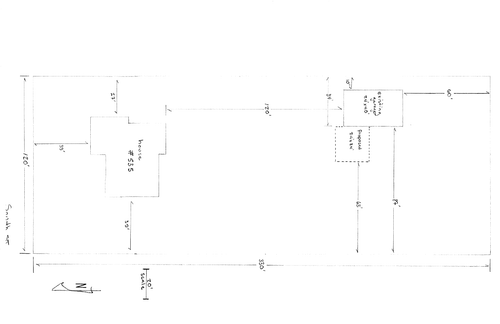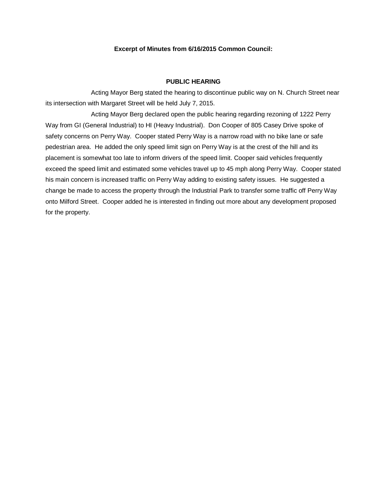### **Excerpt of Minutes from 6/16/2015 Common Council:**

### **PUBLIC HEARING**

Acting Mayor Berg stated the hearing to discontinue public way on N. Church Street near its intersection with Margaret Street will be held July 7, 2015.

Acting Mayor Berg declared open the public hearing regarding rezoning of 1222 Perry Way from GI (General Industrial) to HI (Heavy Industrial). Don Cooper of 805 Casey Drive spoke of safety concerns on Perry Way. Cooper stated Perry Way is a narrow road with no bike lane or safe pedestrian area. He added the only speed limit sign on Perry Way is at the crest of the hill and its placement is somewhat too late to inform drivers of the speed limit. Cooper said vehicles frequently exceed the speed limit and estimated some vehicles travel up to 45 mph along Perry Way. Cooper stated his main concern is increased traffic on Perry Way adding to existing safety issues. He suggested a change be made to access the property through the Industrial Park to transfer some traffic off Perry Way onto Milford Street. Cooper added he is interested in finding out more about any development proposed for the property.